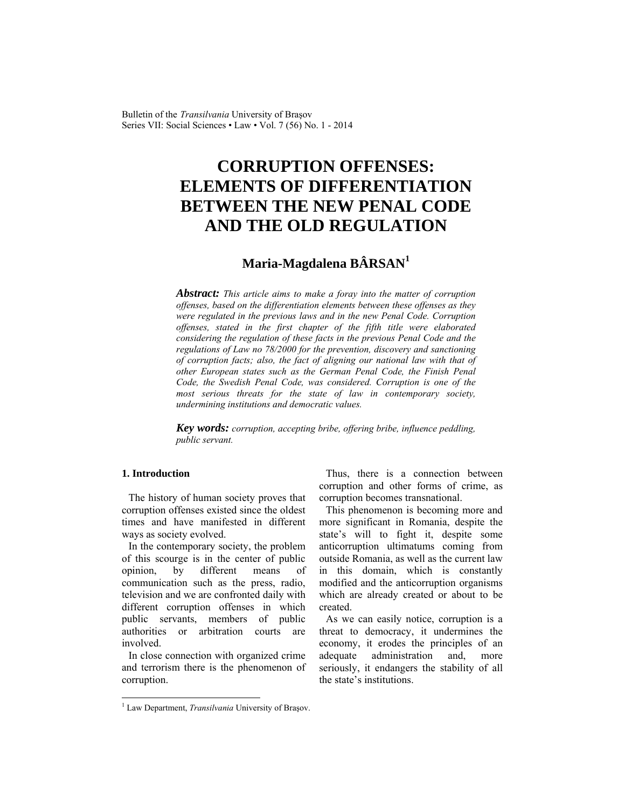Bulletin of the *Transilvania* University of Braşov Series VII: Social Sciences • Law • Vol. 7 (56) No. 1 - 2014

# **CORRUPTION OFFENSES: ELEMENTS OF DIFFERENTIATION BETWEEN THE NEW PENAL CODE AND THE OLD REGULATION**

# **Maria-Magdalena BÂRSAN<sup>1</sup>**

*Abstract: This article aims to make a foray into the matter of corruption offenses, based on the differentiation elements between these offenses as they were regulated in the previous laws and in the new Penal Code. Corruption offenses, stated in the first chapter of the fifth title were elaborated considering the regulation of these facts in the previous Penal Code and the regulations of Law no 78/2000 for the prevention, discovery and sanctioning of corruption facts; also, the fact of aligning our national law with that of other European states such as the German Penal Code, the Finish Penal Code, the Swedish Penal Code, was considered. Corruption is one of the most serious threats for the state of law in contemporary society, undermining institutions and democratic values.* 

*Key words: corruption, accepting bribe, offering bribe, influence peddling, public servant.* 

#### **1. Introduction**

 $\overline{\phantom{a}}$ 

The history of human society proves that corruption offenses existed since the oldest times and have manifested in different ways as society evolved.

In the contemporary society, the problem of this scourge is in the center of public opinion, by different means of communication such as the press, radio, television and we are confronted daily with different corruption offenses in which public servants, members of public authorities or arbitration courts are involved.

In close connection with organized crime and terrorism there is the phenomenon of corruption.

Thus, there is a connection between corruption and other forms of crime, as corruption becomes transnational.

This phenomenon is becoming more and more significant in Romania, despite the state's will to fight it, despite some anticorruption ultimatums coming from outside Romania, as well as the current law in this domain, which is constantly modified and the anticorruption organisms which are already created or about to be created.

As we can easily notice, corruption is a threat to democracy, it undermines the economy, it erodes the principles of an adequate administration and, more seriously, it endangers the stability of all the state's institutions.

<sup>&</sup>lt;sup>1</sup> Law Department, *Transilvania* University of Braşov.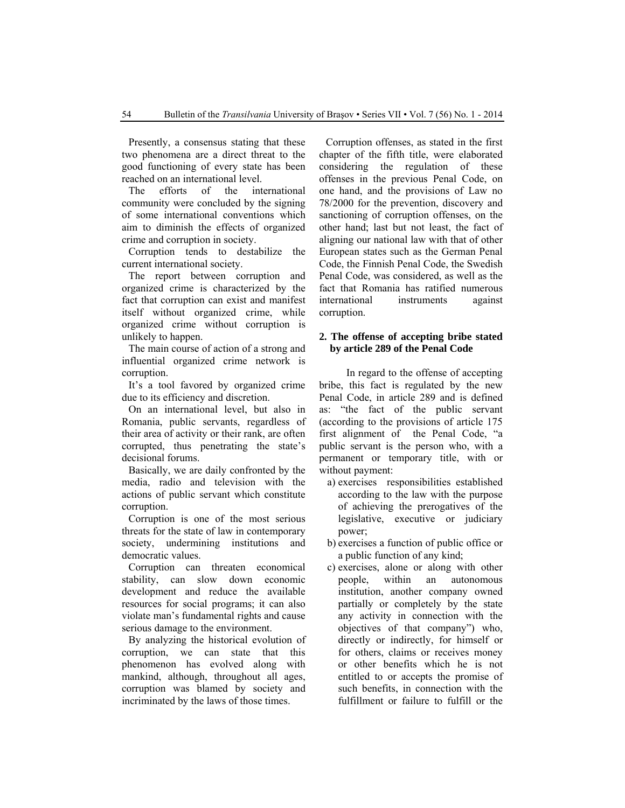Presently, a consensus stating that these two phenomena are a direct threat to the good functioning of every state has been reached on an international level.

The efforts of the international community were concluded by the signing of some international conventions which aim to diminish the effects of organized crime and corruption in society.

Corruption tends to destabilize the current international society.

The report between corruption and organized crime is characterized by the fact that corruption can exist and manifest itself without organized crime, while organized crime without corruption is unlikely to happen.

The main course of action of a strong and influential organized crime network is corruption.

It's a tool favored by organized crime due to its efficiency and discretion.

On an international level, but also in Romania, public servants, regardless of their area of activity or their rank, are often corrupted, thus penetrating the state's decisional forums.

Basically, we are daily confronted by the media, radio and television with the actions of public servant which constitute corruption.

Corruption is one of the most serious threats for the state of law in contemporary society, undermining institutions and democratic values.

Corruption can threaten economical stability, can slow down economic development and reduce the available resources for social programs; it can also violate man's fundamental rights and cause serious damage to the environment.

By analyzing the historical evolution of corruption, we can state that this phenomenon has evolved along with mankind, although, throughout all ages, corruption was blamed by society and incriminated by the laws of those times.

Corruption offenses, as stated in the first chapter of the fifth title, were elaborated considering the regulation of these offenses in the previous Penal Code, on one hand, and the provisions of Law no 78/2000 for the prevention, discovery and sanctioning of corruption offenses, on the other hand; last but not least, the fact of aligning our national law with that of other European states such as the German Penal Code, the Finnish Penal Code, the Swedish Penal Code, was considered, as well as the fact that Romania has ratified numerous international instruments against corruption.

#### **2. The offense of accepting bribe stated by article 289 of the Penal Code**

In regard to the offense of accepting bribe, this fact is regulated by the new Penal Code, in article 289 and is defined as: "the fact of the public servant (according to the provisions of article 175 first alignment of the Penal Code, "a public servant is the person who, with a permanent or temporary title, with or without payment:

- a) exercises responsibilities established according to the law with the purpose of achieving the prerogatives of the legislative, executive or judiciary power;
- b) exercises a function of public office or a public function of any kind;
- c) exercises, alone or along with other people, within an autonomous institution, another company owned partially or completely by the state any activity in connection with the objectives of that company") who, directly or indirectly, for himself or for others, claims or receives money or other benefits which he is not entitled to or accepts the promise of such benefits, in connection with the fulfillment or failure to fulfill or the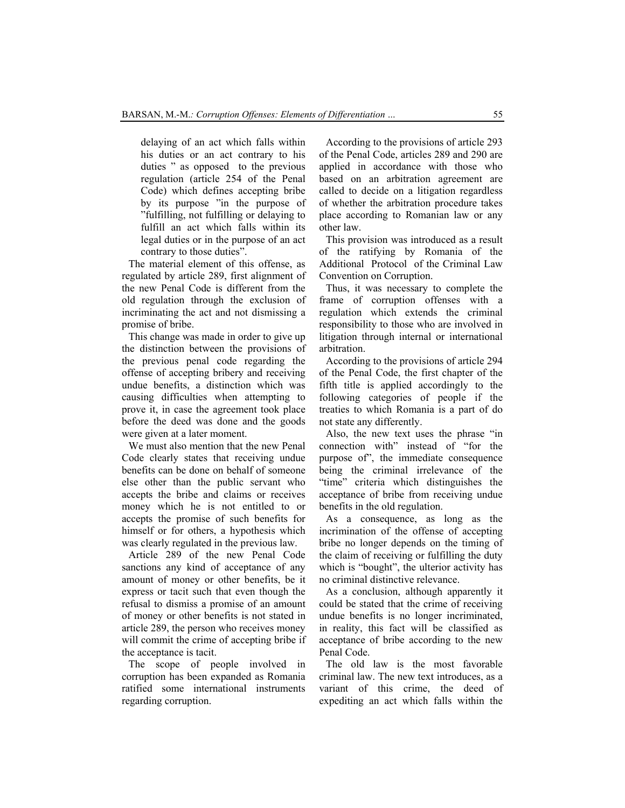delaying of an act which falls within his duties or an act contrary to his duties " as opposed to the previous regulation (article 254 of the Penal Code) which defines accepting bribe by its purpose "in the purpose of "fulfilling, not fulfilling or delaying to fulfill an act which falls within its legal duties or in the purpose of an act contrary to those duties".

The material element of this offense, as regulated by article 289, first alignment of the new Penal Code is different from the old regulation through the exclusion of incriminating the act and not dismissing a promise of bribe.

This change was made in order to give up the distinction between the provisions of the previous penal code regarding the offense of accepting bribery and receiving undue benefits, a distinction which was causing difficulties when attempting to prove it, in case the agreement took place before the deed was done and the goods were given at a later moment.

We must also mention that the new Penal Code clearly states that receiving undue benefits can be done on behalf of someone else other than the public servant who accepts the bribe and claims or receives money which he is not entitled to or accepts the promise of such benefits for himself or for others, a hypothesis which was clearly regulated in the previous law.

Article 289 of the new Penal Code sanctions any kind of acceptance of any amount of money or other benefits, be it express or tacit such that even though the refusal to dismiss a promise of an amount of money or other benefits is not stated in article 289, the person who receives money will commit the crime of accepting bribe if the acceptance is tacit.

The scope of people involved in corruption has been expanded as Romania ratified some international instruments regarding corruption.

According to the provisions of article 293 of the Penal Code, articles 289 and 290 are applied in accordance with those who based on an arbitration agreement are called to decide on a litigation regardless of whether the arbitration procedure takes place according to Romanian law or any other law.

This provision was introduced as a result of the ratifying by Romania of the Additional Protocol of the Criminal Law Convention on Corruption.

Thus, it was necessary to complete the frame of corruption offenses with a regulation which extends the criminal responsibility to those who are involved in litigation through internal or international arbitration.

According to the provisions of article 294 of the Penal Code, the first chapter of the fifth title is applied accordingly to the following categories of people if the treaties to which Romania is a part of do not state any differently.

Also, the new text uses the phrase "in connection with" instead of "for the purpose of", the immediate consequence being the criminal irrelevance of the "time" criteria which distinguishes the acceptance of bribe from receiving undue benefits in the old regulation.

As a consequence, as long as the incrimination of the offense of accepting bribe no longer depends on the timing of the claim of receiving or fulfilling the duty which is "bought", the ulterior activity has no criminal distinctive relevance.

As a conclusion, although apparently it could be stated that the crime of receiving undue benefits is no longer incriminated, in reality, this fact will be classified as acceptance of bribe according to the new Penal Code.

The old law is the most favorable criminal law. The new text introduces, as a variant of this crime, the deed of expediting an act which falls within the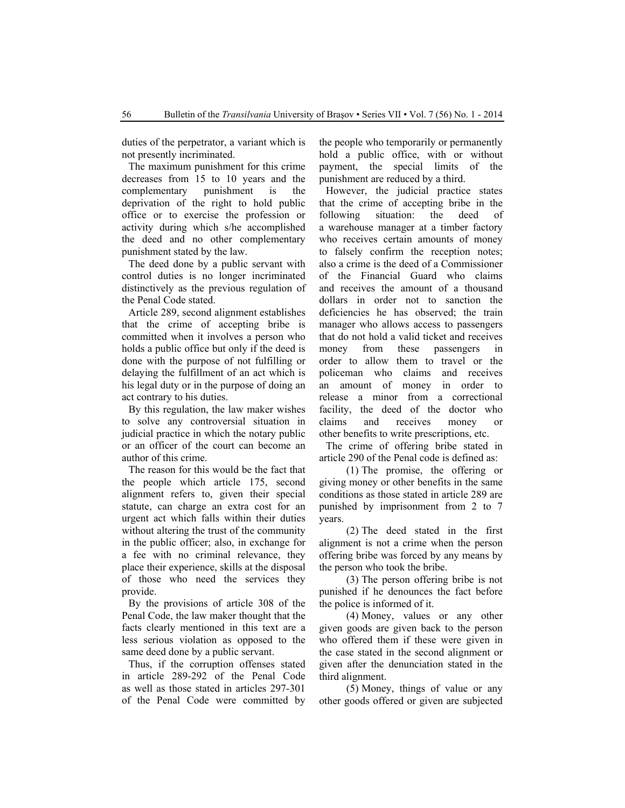duties of the perpetrator, a variant which is not presently incriminated.

The maximum punishment for this crime decreases from 15 to 10 years and the complementary punishment is the deprivation of the right to hold public office or to exercise the profession or activity during which s/he accomplished the deed and no other complementary punishment stated by the law.

The deed done by a public servant with control duties is no longer incriminated distinctively as the previous regulation of the Penal Code stated.

Article 289, second alignment establishes that the crime of accepting bribe is committed when it involves a person who holds a public office but only if the deed is done with the purpose of not fulfilling or delaying the fulfillment of an act which is his legal duty or in the purpose of doing an act contrary to his duties.

By this regulation, the law maker wishes to solve any controversial situation in judicial practice in which the notary public or an officer of the court can become an author of this crime.

The reason for this would be the fact that the people which article 175, second alignment refers to, given their special statute, can charge an extra cost for an urgent act which falls within their duties without altering the trust of the community in the public officer; also, in exchange for a fee with no criminal relevance, they place their experience, skills at the disposal of those who need the services they provide.

By the provisions of article 308 of the Penal Code, the law maker thought that the facts clearly mentioned in this text are a less serious violation as opposed to the same deed done by a public servant.

Thus, if the corruption offenses stated in article 289-292 of the Penal Code as well as those stated in articles 297-301 of the Penal Code were committed by the people who temporarily or permanently hold a public office, with or without payment, the special limits of the punishment are reduced by a third.

However, the judicial practice states that the crime of accepting bribe in the following situation: the deed of a warehouse manager at a timber factory who receives certain amounts of money to falsely confirm the reception notes; also a crime is the deed of a Commissioner of the Financial Guard who claims and receives the amount of a thousand dollars in order not to sanction the deficiencies he has observed; the train manager who allows access to passengers that do not hold a valid ticket and receives money from these passengers in order to allow them to travel or the policeman who claims and receives an amount of money in order to release a minor from a correctional facility, the deed of the doctor who claims and receives money or other benefits to write prescriptions, etc.

The crime of offering bribe stated in article 290 of the Penal code is defined as:

(1) The promise, the offering or giving money or other benefits in the same conditions as those stated in article 289 are punished by imprisonment from 2 to 7 years.

(2) The deed stated in the first alignment is not a crime when the person offering bribe was forced by any means by the person who took the bribe.

(3) The person offering bribe is not punished if he denounces the fact before the police is informed of it.

(4) Money, values or any other given goods are given back to the person who offered them if these were given in the case stated in the second alignment or given after the denunciation stated in the third alignment.

(5) Money, things of value or any other goods offered or given are subjected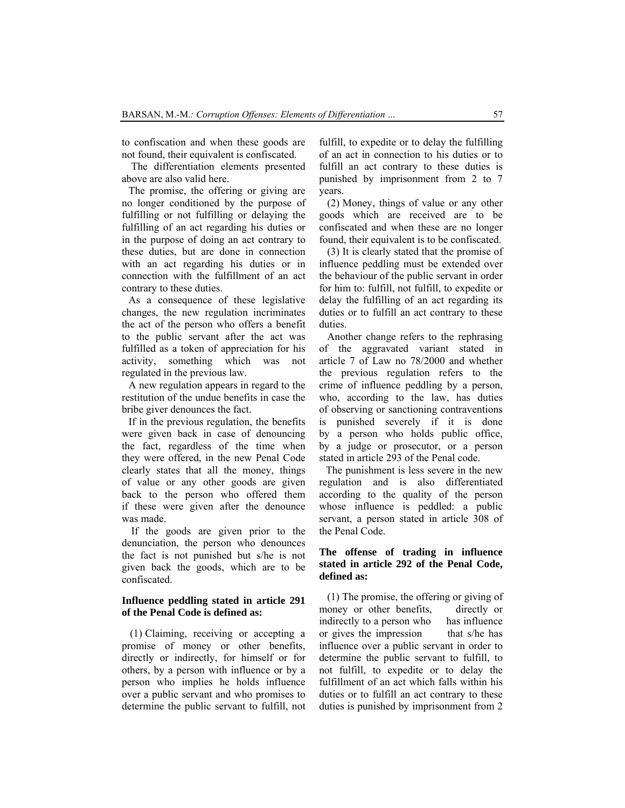to confiscation and when these goods are not found, their equivalent is confiscated.

 The differentiation elements presented above are also valid here.

The promise, the offering or giving are no longer conditioned by the purpose of fulfilling or not fulfilling or delaying the fulfilling of an act regarding his duties or in the purpose of doing an act contrary to these duties, but are done in connection with an act regarding his duties or in connection with the fulfillment of an act contrary to these duties.

As a consequence of these legislative changes, the new regulation incriminates the act of the person who offers a benefit to the public servant after the act was fulfilled as a token of appreciation for his activity, something which was not regulated in the previous law.

A new regulation appears in regard to the restitution of the undue benefits in case the bribe giver denounces the fact.

If in the previous regulation, the benefits were given back in case of denouncing the fact, regardless of the time when they were offered, in the new Penal Code clearly states that all the money, things of value or any other goods are given back to the person who offered them if these were given after the denounce was made.

 If the goods are given prior to the denunciation, the person who denounces the fact is not punished but s/he is not given back the goods, which are to be confiscated.

## **Influence peddling stated in article 291 of the Penal Code is defined as:**

(1) Claiming, receiving or accepting a promise of money or other benefits, directly or indirectly, for himself or for others, by a person with influence or by a person who implies he holds influence over a public servant and who promises to determine the public servant to fulfill, not fulfill, to expedite or to delay the fulfilling of an act in connection to his duties or to fulfill an act contrary to these duties is punished by imprisonment from 2 to 7 years.

(2) Money, things of value or any other goods which are received are to be confiscated and when these are no longer found, their equivalent is to be confiscated.

(3) It is clearly stated that the promise of influence peddling must be extended over the behaviour of the public servant in order for him to: fulfill, not fulfill, to expedite or delay the fulfilling of an act regarding its duties or to fulfill an act contrary to these duties.

Another change refers to the rephrasing of the aggravated variant stated in article 7 of Law no 78/2000 and whether the previous regulation refers to the crime of influence peddling by a person, who, according to the law, has duties of observing or sanctioning contraventions is punished severely if it is done by a person who holds public office, by a judge or prosecutor, or a person stated in article 293 of the Penal code.

The punishment is less severe in the new regulation and is also differentiated according to the quality of the person whose influence is peddled: a public servant, a person stated in article 308 of the Penal Code.

### **The offense of trading in influence stated in article 292 of the Penal Code, defined as:**

(1) The promise, the offering or giving of money or other benefits, directly or indirectly to a person who has influence or gives the impression that s/he has influence over a public servant in order to determine the public servant to fulfill, to not fulfill, to expedite or to delay the fulfillment of an act which falls within his duties or to fulfill an act contrary to these duties is punished by imprisonment from 2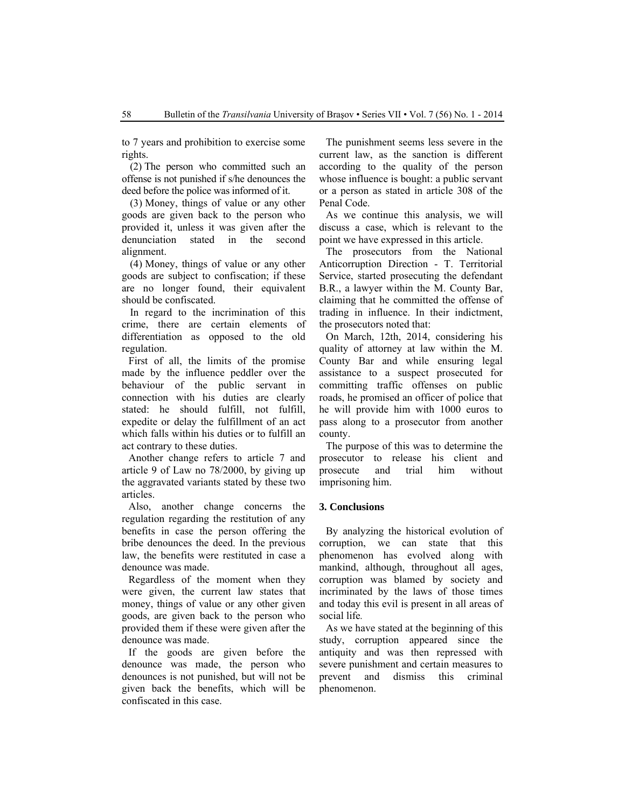to 7 years and prohibition to exercise some rights.

(2) The person who committed such an offense is not punished if s/he denounces the deed before the police was informed of it.

(3) Money, things of value or any other goods are given back to the person who provided it, unless it was given after the denunciation stated in the second alignment.

(4) Money, things of value or any other goods are subject to confiscation; if these are no longer found, their equivalent should be confiscated.

In regard to the incrimination of this crime, there are certain elements of differentiation as opposed to the old regulation.

First of all, the limits of the promise made by the influence peddler over the behaviour of the public servant in connection with his duties are clearly stated: he should fulfill, not fulfill, expedite or delay the fulfillment of an act which falls within his duties or to fulfill an act contrary to these duties.

Another change refers to article 7 and article 9 of Law no 78/2000, by giving up the aggravated variants stated by these two articles.

Also, another change concerns the regulation regarding the restitution of any benefits in case the person offering the bribe denounces the deed. In the previous law, the benefits were restituted in case a denounce was made.

Regardless of the moment when they were given, the current law states that money, things of value or any other given goods, are given back to the person who provided them if these were given after the denounce was made.

If the goods are given before the denounce was made, the person who denounces is not punished, but will not be given back the benefits, which will be confiscated in this case.

The punishment seems less severe in the current law, as the sanction is different according to the quality of the person whose influence is bought: a public servant or a person as stated in article 308 of the Penal Code.

As we continue this analysis, we will discuss a case, which is relevant to the point we have expressed in this article.

The prosecutors from the National Anticorruption Direction - T. Territorial Service, started prosecuting the defendant B.R., a lawyer within the M. County Bar, claiming that he committed the offense of trading in influence. In their indictment, the prosecutors noted that:

On March, 12th, 2014, considering his quality of attorney at law within the M. County Bar and while ensuring legal assistance to a suspect prosecuted for committing traffic offenses on public roads, he promised an officer of police that he will provide him with 1000 euros to pass along to a prosecutor from another county.

The purpose of this was to determine the prosecutor to release his client and prosecute and trial him without imprisoning him.

#### **3. Conclusions**

By analyzing the historical evolution of corruption, we can state that this phenomenon has evolved along with mankind, although, throughout all ages, corruption was blamed by society and incriminated by the laws of those times and today this evil is present in all areas of social life*.* 

As we have stated at the beginning of this study, corruption appeared since the antiquity and was then repressed with severe punishment and certain measures to prevent and dismiss this criminal phenomenon.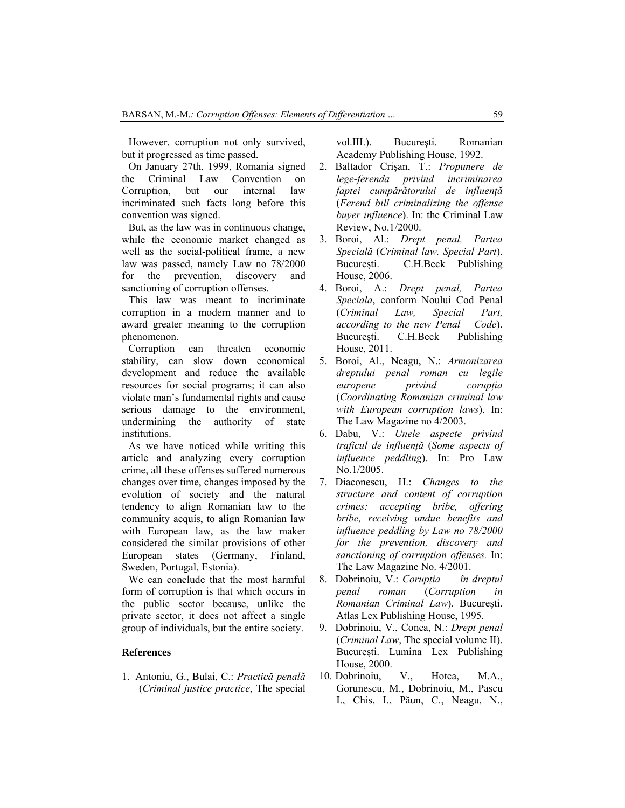However, corruption not only survived, but it progressed as time passed.

On January 27th, 1999, Romania signed the Criminal Law Convention on Corruption, but our internal law incriminated such facts long before this convention was signed.

But, as the law was in continuous change, while the economic market changed as well as the social-political frame, a new law was passed, namely Law no 78/2000 for the prevention, discovery and sanctioning of corruption offenses.

This law was meant to incriminate corruption in a modern manner and to award greater meaning to the corruption phenomenon.

Corruption can threaten economic stability, can slow down economical development and reduce the available resources for social programs; it can also violate man's fundamental rights and cause serious damage to the environment, undermining the authority of state institutions.

As we have noticed while writing this article and analyzing every corruption crime, all these offenses suffered numerous changes over time, changes imposed by the evolution of society and the natural tendency to align Romanian law to the community acquis, to align Romanian law with European law, as the law maker considered the similar provisions of other European states (Germany, Finland, Sweden, Portugal, Estonia).

We can conclude that the most harmful form of corruption is that which occurs in the public sector because, unlike the private sector, it does not affect a single group of individuals, but the entire society.

### **References**

1. Antoniu, G., Bulai, C.: *Practică penală* (*Criminal justice practice*, The special

vol.III.). Bucureşti. Romanian Academy Publishing House, 1992.

- 2. Baltador Crişan, T.: *Propunere de lege-ferenda privind incriminarea faptei cumpărătorului de influenţă* (*Ferend bill criminalizing the offense buyer influence*). In: the Criminal Law Review, No.1/2000.
- 3. Boroi, Al.: *Drept penal, Partea Specială* (*Criminal law. Special Part*). Bucureşti. C.H.Beck Publishing House, 2006.
- 4. Boroi, A.: *Drept penal, Partea Speciala*, conform Noului Cod Penal (*Criminal Law, Special Part, according to the new Penal Code*). Bucureşti. C.H.Beck Publishing House, 2011.
- 5. Boroi, Al., Neagu, N.: *Armonizarea dreptului penal roman cu legile europene privind corupţia* (*Coordinating Romanian criminal law with European corruption laws*). In: The Law Magazine no 4/2003.
- 6. Dabu, V.: *Unele aspecte privind traficul de influenţă* (*Some aspects of influence peddling*). In: Pro Law No.1/2005.
- 7. Diaconescu, H.: *Changes to the structure and content of corruption crimes: accepting bribe, offering bribe, receiving undue benefits and influence peddling by Law no 78/2000 for the prevention, discovery and sanctioning of corruption offenses.* In: The Law Magazine No. 4/2001.
- 8. Dobrinoiu, V.: *Corupţia în dreptul penal roman* (*Corruption in Romanian Criminal Law*). Bucureşti. Atlas Lex Publishing House, 1995.
- 9. Dobrinoiu, V., Conea, N.: *Drept penal*  (*Criminal Law*, The special volume II). Bucureşti. Lumina Lex Publishing House, 2000.
- 10. Dobrinoiu, V., Hotca, M.A., Gorunescu, M., Dobrinoiu, M., Pascu I., Chis, I., Păun, C., Neagu, N.,